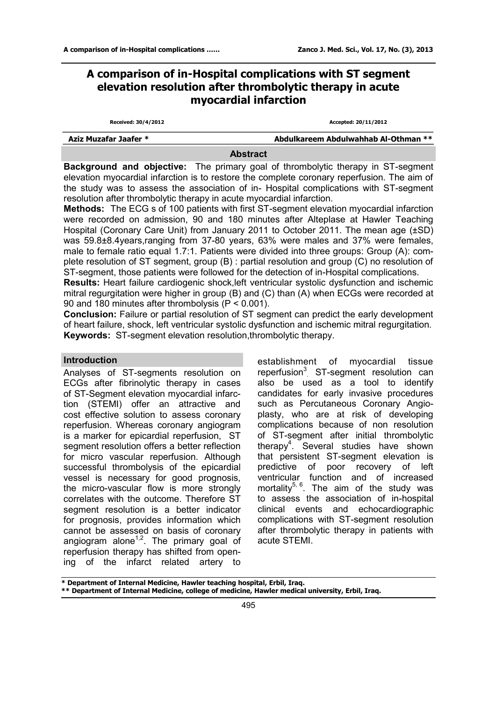# **A comparison of in-Hospital complications with ST segment elevation resolution after thrombolytic therapy in acute myocardial infarction**

| Received: 30/4/2012   | Accepted: 20/11/2012                 |  |  |  |
|-----------------------|--------------------------------------|--|--|--|
| Aziz Muzafar Jaafer * | Abdulkareem Abdulwahhab Al-Othman ** |  |  |  |

#### **Abstract**

**Background and objective:** The primary goal of thrombolytic therapy in ST-segment elevation myocardial infarction is to restore the complete coronary reperfusion. The aim of the study was to assess the association of in- Hospital complications with ST-segment resolution after thrombolytic therapy in acute myocardial infarction.

**Methods:** The ECG s of 100 patients with first ST-segment elevation myocardial infarction were recorded on admission, 90 and 180 minutes after Alteplase at Hawler Teaching Hospital (Coronary Care Unit) from January 2011 to October 2011. The mean age (±SD) was 59.8±8.4years,ranging from 37-80 years, 63% were males and 37% were females, male to female ratio equal 1.7:1. Patients were divided into three groups: Group (A): complete resolution of ST segment, group (B) : partial resolution and group (C) no resolution of ST-segment, those patients were followed for the detection of in-Hospital complications.

**Results:** Heart failure cardiogenic shock,left ventricular systolic dysfunction and ischemic mitral regurgitation were higher in group (B) and (C) than (A) when ECGs were recorded at 90 and 180 minutes after thrombolysis (P < 0.001).

**Conclusion:** Failure or partial resolution of ST segment can predict the early development of heart failure, shock, left ventricular systolic dysfunction and ischemic mitral regurgitation. **Keywords:** ST-segment elevation resolution,thrombolytic therapy.

## **Introduction**

Analyses of ST-segments resolution on ECGs after fibrinolytic therapy in cases of ST-Segment elevation myocardial infarction (STEMI) offer an attractive and cost effective solution to assess coronary reperfusion. Whereas coronary angiogram is a marker for epicardial reperfusion, ST segment resolution offers a better reflection for micro vascular reperfusion. Although successful thrombolysis of the epicardial vessel is necessary for good prognosis, the micro-vascular flow is more strongly correlates with the outcome. Therefore ST segment resolution is a better indicator for prognosis, provides information which cannot be assessed on basis of coronary angiogram alone<sup>1,2</sup>. The primary goal of reperfusion therapy has shifted from opening of the infarct related artery to

establishment of myocardial tissue reperfusion<sup>3</sup> ST-segment resolution can also be used as a tool to identify candidates for early invasive procedures such as Percutaneous Coronary Angioplasty, who are at risk of developing complications because of non resolution of ST-segment after initial thrombolytic therapy<sup>4</sup>. Several studies have shown that persistent ST-segment elevation is predictive of poor recovery of left ventricular function and of increased mortality<sup>5, 6</sup>. The aim of the study was to assess the association of in-hospital clinical events and echocardiographic complications with ST-segment resolution after thrombolytic therapy in patients with acute STEMI.

**\* Department of Internal Medicine, Hawler teaching hospital, Erbil, Iraq. \*\* Department of Internal Medicine, college of medicine, Hawler medical university, Erbil, Iraq.**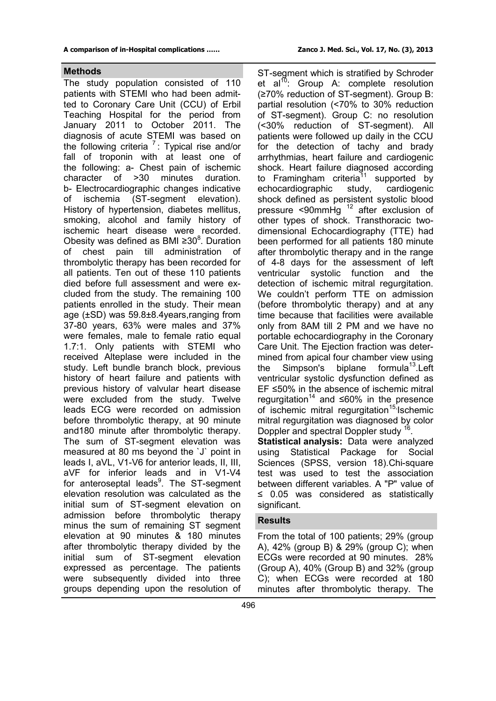## **Methods**

The study population consisted of 110 patients with STEMI who had been admitted to Coronary Care Unit (CCU) of Erbil Teaching Hospital for the period from January 2011 to October 2011. The diagnosis of acute STEMI was based on the following criteria  $7:$  Typical rise and/or fall of troponin with at least one of the following: a- Chest pain of ischemic character of >30 minutes duration. b- Electrocardiographic changes indicative of ischemia (ST-segment elevation). History of hypertension, diabetes mellitus, smoking, alcohol and family history of ischemic heart disease were recorded. Obesity was defined as BMI ≥30 $^8$ . Duration of chest pain till administration of thrombolytic therapy has been recorded for all patients. Ten out of these 110 patients died before full assessment and were excluded from the study. The remaining 100 patients enrolled in the study. Their mean age (±SD) was 59.8±8.4years,ranging from 37-80 years, 63% were males and 37% were females, male to female ratio equal 1.7:1. Only patients with STEMI who received Alteplase were included in the study. Left bundle branch block, previous history of heart failure and patients with previous history of valvular heart disease were excluded from the study. Twelve leads ECG were recorded on admission before thrombolytic therapy, at 90 minute and180 minute after thrombolytic therapy. The sum of ST-segment elevation was measured at 80 ms beyond the `J` point in leads I, aVL, V1-V6 for anterior leads, II, III, aVF for inferior leads and in V1-V4 for anteroseptal leads<sup>9</sup>. The ST-segment elevation resolution was calculated as the initial sum of ST-segment elevation on admission before thrombolytic therapy minus the sum of remaining ST segment elevation at 90 minutes & 180 minutes after thrombolytic therapy divided by the initial sum of ST-segment elevation expressed as percentage. The patients were subsequently divided into three groups depending upon the resolution of

ST-segment which is stratified by Schroder et al<sup>10</sup>: Group A: complete resolution (≥70% reduction of ST-segment). Group B: partial resolution (<70% to 30% reduction of ST-segment). Group C: no resolution (<30% reduction of ST-segment). All patients were followed up daily in the CCU for the detection of tachy and brady arrhythmias, heart failure and cardiogenic shock. Heart failure diagnosed according to Framingham criteria<sup>11</sup> supported by echocardiographic study, cardiogenic shock defined as persistent systolic blood pressure <90mmHg  $^{12}$  after exclusion of other types of shock. Transthoracic twodimensional Echocardiography (TTE) had been performed for all patients 180 minute after thrombolytic therapy and in the range of 4-8 days for the assessment of left ventricular systolic function and the detection of ischemic mitral regurgitation. We couldn't perform TTE on admission (before thrombolytic therapy) and at any time because that facilities were available only from 8AM till 2 PM and we have no portable echocardiography in the Coronary Care Unit. The Ejection fraction was determined from apical four chamber view using the Simpson's biplane formula<sup>13</sup>.Left ventricular systolic dysfunction defined as EF ≤50% in the absence of ischemic mitral regurgitation<sup>14</sup> and ≤60% in the presence of ischemic mitral regurgitation<sup>15,</sup> Ischemic mitral regurgitation was diagnosed by color Doppler and spectral Doppler study <sup>16</sup> .

**Statistical analysis:** Data were analyzed using Statistical Package for Social Sciences (SPSS, version 18).Chi-square test was used to test the association between different variables. A "P" value of ≤ 0.05 was considered as statistically significant.

## **Results**

From the total of 100 patients; 29% (group A), 42% (group B) & 29% (group C); when ECGs were recorded at 90 minutes. 28% (Group A), 40% (Group B) and 32% (group C); when ECGs were recorded at 180 minutes after thrombolytic therapy. The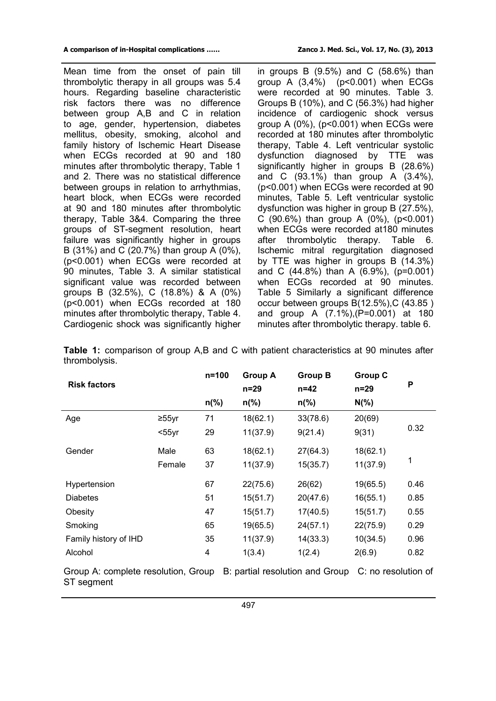Mean time from the onset of pain till thrombolytic therapy in all groups was 5.4 hours. Regarding baseline characteristic risk factors there was no difference between group A,B and C in relation to age, gender, hypertension, diabetes mellitus, obesity, smoking, alcohol and family history of Ischemic Heart Disease when ECGs recorded at 90 and 180 minutes after thrombolytic therapy, Table 1 and 2. There was no statistical difference between groups in relation to arrhythmias, heart block, when ECGs were recorded at 90 and 180 minutes after thrombolytic therapy, Table 3&4. Comparing the three groups of ST-segment resolution, heart failure was significantly higher in groups B (31%) and C (20.7%) than group A (0%), (p<0.001) when ECGs were recorded at 90 minutes, Table 3. A similar statistical significant value was recorded between groups B (32.5%), C (18.8%) & A (0%) (p<0.001) when ECGs recorded at 180 minutes after thrombolytic therapy, Table 4. Cardiogenic shock was significantly higher in groups B  $(9.5\%)$  and C  $(58.6\%)$  than group A  $(3,4\%)$  (p<0.001) when ECGs were recorded at 90 minutes. Table 3. Groups B (10%), and C (56.3%) had higher incidence of cardiogenic shock versus group A  $(0\%)$ ,  $(p<0.001)$  when ECGs were recorded at 180 minutes after thrombolytic therapy, Table 4. Left ventricular systolic dysfunction diagnosed by TTE was significantly higher in groups B (28.6%) and C (93.1%) than group A (3.4%), (p<0.001) when ECGs were recorded at 90 minutes, Table 5. Left ventricular systolic dysfunction was higher in group B (27.5%), C  $(90.6\%)$  than group A  $(0\%)$ ,  $(p<0.001)$ when ECGs were recorded at180 minutes after thrombolytic therapy. Table 6. Ischemic mitral regurgitation diagnosed by TTE was higher in groups B (14.3%) and C (44.8%) than A (6.9%), (p=0.001) when ECGs recorded at 90 minutes. Table 5 Similarly a significant difference occur between groups B(12.5%),C (43.85 ) and group A (7.1%),(P=0.001) at 180 minutes after thrombolytic therapy. table 6.

| <b>Risk factors</b>                               |          | n=100          | <b>Group A</b><br>$n=29$ | <b>Group B</b><br>n=42                              | <b>Group C</b><br>n=29 | P    |
|---------------------------------------------------|----------|----------------|--------------------------|-----------------------------------------------------|------------------------|------|
|                                                   |          | $n\frac{9}{6}$ | $n\frac{9}{6}$           | $n\frac{9}{6}$                                      | $N(\% )$               |      |
| Age                                               | $≥55$ yr | 71             | 18(62.1)                 | 33(78.6)                                            | 20(69)                 |      |
|                                                   | $55yr$   | 29             | 11(37.9)                 | 9(21.4)                                             | 9(31)                  | 0.32 |
| Gender                                            | Male     | 63             | 18(62.1)                 | 27(64.3)                                            | 18(62.1)               |      |
|                                                   | Female   | 37             | 11(37.9)                 | 15(35.7)                                            | 11(37.9)               | 1    |
| Hypertension                                      |          | 67             | 22(75.6)                 | 26(62)                                              | 19(65.5)               | 0.46 |
| <b>Diabetes</b>                                   |          | 51             | 15(51.7)                 | 20(47.6)                                            | 16(55.1)               | 0.85 |
| Obesity                                           |          | 47             | 15(51.7)                 | 17(40.5)                                            | 15(51.7)               | 0.55 |
| Smoking                                           |          | 65             | 19(65.5)                 | 24(57.1)                                            | 22(75.9)               | 0.29 |
| Family history of IHD                             |          | 35             | 11(37.9)                 | 14(33.3)                                            | 10(34.5)               | 0.96 |
| Alcohol                                           |          | 4              | 1(3.4)                   | 1(2.4)                                              | 2(6.9)                 | 0.82 |
| Group A: complete resolution, Group<br>ST segment |          |                |                          | B: partial resolution and Group C: no resolution of |                        |      |

**Table 1:** comparison of group A,B and C with patient characteristics at 90 minutes after thrombolysis.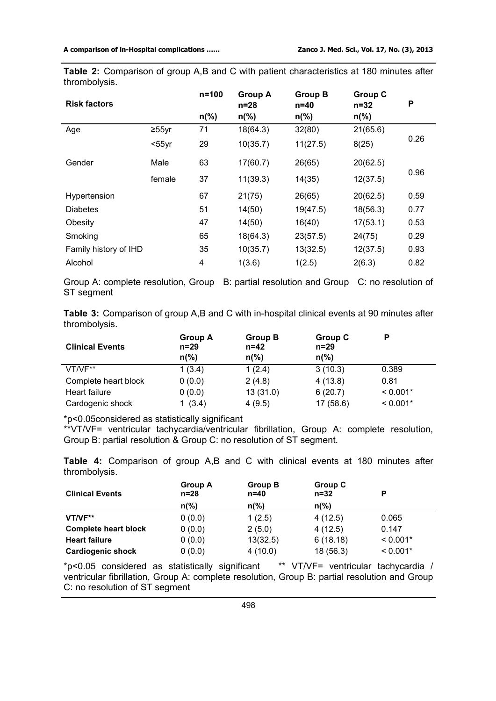**Table 2:** Comparison of group A,B and C with patient characteristics at 180 minutes after thrombolysis.

| <b>Risk factors</b>   |              | $n = 100$      | <b>Group A</b><br>$n=28$ | <b>Group B</b><br>$n=40$ | <b>Group C</b><br>$n = 32$ | P    |
|-----------------------|--------------|----------------|--------------------------|--------------------------|----------------------------|------|
|                       |              | $n\frac{9}{6}$ | $n\frac{9}{6}$           | $n\frac{9}{6}$           | $n\frac{9}{6}$             |      |
| Age                   | $\geq 55$ yr | 71             | 18(64.3)                 | 32(80)                   | 21(65.6)                   |      |
|                       | $55yr$       | 29             | 10(35.7)                 | 11(27.5)                 | 8(25)                      | 0.26 |
| Gender                | Male         | 63             | 17(60.7)                 | 26(65)                   | 20(62.5)                   |      |
|                       | female       | 37             | 11(39.3)                 | 14(35)                   | 12(37.5)                   | 0.96 |
| Hypertension          |              | 67             | 21(75)                   | 26(65)                   | 20(62.5)                   | 0.59 |
| <b>Diabetes</b>       |              | 51             | 14(50)                   | 19(47.5)                 | 18(56.3)                   | 0.77 |
| Obesity               |              | 47             | 14(50)                   | 16(40)                   | 17(53.1)                   | 0.53 |
| Smoking               |              | 65             | 18(64.3)                 | 23(57.5)                 | 24(75)                     | 0.29 |
| Family history of IHD |              | 35             | 10(35.7)                 | 13(32.5)                 | 12(37.5)                   | 0.93 |
| Alcohol               |              | 4              | 1(3.6)                   | 1(2.5)                   | 2(6.3)                     | 0.82 |

Group A: complete resolution, Group B: partial resolution and Group C: no resolution of ST segment

**Table 3:** Comparison of group A,B and C with in-hospital clinical events at 90 minutes after thrombolysis.

| <b>Clinical Events</b> | <b>Group A</b><br>$n=29$<br>$n\frac{9}{6}$ | <b>Group B</b><br>$n=42$<br>$n\frac{9}{6}$ | Group C<br>$n=29$<br>$n\frac{9}{6}$ | D          |
|------------------------|--------------------------------------------|--------------------------------------------|-------------------------------------|------------|
| VT/VF**                | 1(3.4)                                     | 1(2.4)                                     | 3(10.3)                             | 0.389      |
| Complete heart block   | 0(0.0)                                     | 2(4.8)                                     | 4(13.8)                             | 0.81       |
| Heart failure          | 0(0.0)                                     | 13(31.0)                                   | 6(20.7)                             | $< 0.001*$ |
| Cardogenic shock       | (3.4)                                      | 4(9.5)                                     | 17 (58.6)                           | $< 0.001*$ |

\*p<0.05considered as statistically significant

\*\*VT/VF= ventricular tachycardia/ventricular fibrillation, Group A: complete resolution, Group B: partial resolution & Group C: no resolution of ST segment.

**Table 4:** Comparison of group A,B and C with clinical events at 180 minutes after thrombolysis.

| <b>Clinical Events</b>      | <b>Group A</b><br>n=28 | <b>Group B</b><br>$n=40$ | Group C<br>$n=32$ | P          |
|-----------------------------|------------------------|--------------------------|-------------------|------------|
|                             | $n\frac{9}{6}$         | $n\frac{9}{6}$           | $n\frac{9}{6}$    |            |
| VT/VF**                     | 0(0.0)                 | 1(2.5)                   | 4(12.5)           | 0.065      |
| <b>Complete heart block</b> | 0(0.0)                 | 2(5.0)                   | 4(12.5)           | 0.147      |
| <b>Heart failure</b>        | 0(0.0)                 | 13(32.5)                 | 6(18.18)          | $< 0.001*$ |
| <b>Cardiogenic shock</b>    | 0(0.0)                 | 4(10.0)                  | 18 (56.3)         | $< 0.001*$ |

\*p<0.05 considered as statistically significant \*\* VT/VF= ventricular tachycardia / ventricular fibrillation, Group A: complete resolution, Group B: partial resolution and Group C: no resolution of ST segment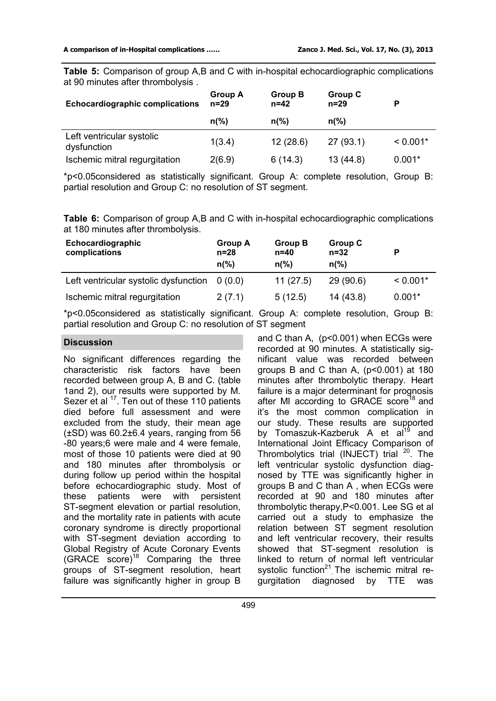**Table 5:** Comparison of group A,B and C with in-hospital echocardiographic complications at 90 minutes after thrombolysis .

| <b>Echocardiographic complications</b>   | <b>Group A</b><br>$n = 29$ | <b>Group B</b><br>$n=42$ | <b>Group C</b><br>$n=29$ |            |
|------------------------------------------|----------------------------|--------------------------|--------------------------|------------|
|                                          | $n\frac{9}{6}$             | $n\frac{9}{6}$           | $n\frac{9}{6}$           |            |
| Left ventricular systolic<br>dysfunction | 1(3.4)                     | 12(28.6)                 | 27(93.1)                 | $< 0.001*$ |
| Ischemic mitral regurgitation            | 2(6.9)                     | 6(14.3)                  | 13(44.8)                 | $0.001*$   |

\*p<0.05considered as statistically significant. Group A: complete resolution, Group B: partial resolution and Group C: no resolution of ST segment.

**Table 6:** Comparison of group A,B and C with in-hospital echocardiographic complications at 180 minutes after thrombolysis.

| Echocardiographic<br>complications    | Group A<br>$n=28$<br>$n\frac{9}{6}$ | Group B<br>$n=40$<br>$n\frac{9}{6}$ | <b>Group C</b><br>$n = 32$<br>$n\frac{9}{6}$ |            |
|---------------------------------------|-------------------------------------|-------------------------------------|----------------------------------------------|------------|
| Left ventricular systolic dysfunction | 0(0.0)                              | 11(27.5)                            | 29(90.6)                                     | $< 0.001*$ |
| Ischemic mitral regurgitation         | 2(7.1)                              | 5(12.5)                             | 14 (43.8)                                    | $0.001*$   |

\*p<0.05considered as statistically significant. Group A: complete resolution, Group B: partial resolution and Group C: no resolution of ST segment

## **Discussion**

No significant differences regarding the characteristic risk factors have been recorded between group A, B and C. (table 1and 2), our results were supported by M. Sezer et al  $17$ . Ten out of these 110 patients died before full assessment and were excluded from the study, their mean age (±SD) was 60.2±6.4 years, ranging from 56 -80 years;6 were male and 4 were female, most of those 10 patients were died at 90 and 180 minutes after thrombolysis or during follow up period within the hospital before echocardiographic study. Most of these patients were with persistent ST-segment elevation or partial resolution, and the mortality rate in patients with acute coronary syndrome is directly proportional with ST-segment deviation according to Global Registry of Acute Coronary Events  $(GRACE score)<sup>18</sup>$  Comparing the three groups of ST-segment resolution, heart failure was significantly higher in group B

and C than A, (p<0.001) when ECGs were recorded at 90 minutes. A statistically significant value was recorded between groups B and C than A, (p<0.001) at 180 minutes after thrombolytic therapy. Heart failure is a major determinant for prognosis after MI according to GRACE score<sup>18</sup> and it's the most common complication in our study. These results are supported by Tomaszuk-Kazberuk A et  $a^{19}$  and International Joint Efficacy Comparison of Thrombolytics trial (INJECT) trial  $^{20}$ . The left ventricular systolic dysfunction diagnosed by TTE was significantly higher in groups B and C than A , when ECGs were recorded at 90 and 180 minutes after thrombolytic therapy,P<0.001. Lee SG et al carried out a study to emphasize the relation between ST segment resolution and left ventricular recovery, their results showed that ST-segment resolution is linked to return of normal left ventricular systolic function<sup>21</sup> The ischemic mitral regurgitation diagnosed by TTE was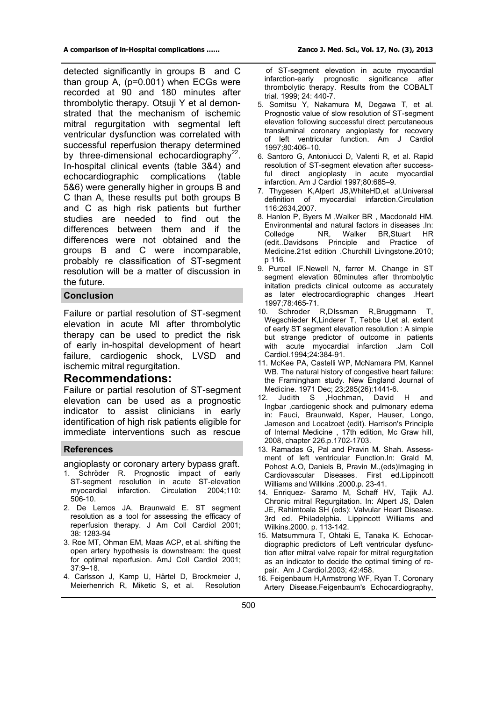detected significantly in groups B and C than group A, (p=0.001) when ECGs were recorded at 90 and 180 minutes after thrombolytic therapy. Otsuji Y et al demonstrated that the mechanism of ischemic mitral regurgitation with segmental left ventricular dysfunction was correlated with successful reperfusion therapy determined by three-dimensional echocardiography<sup>22</sup>. In-hospital clinical events (table 3&4) and echocardiographic complications (table 5&6) were generally higher in groups B and C than A, these results put both groups B and C as high risk patients but further studies are needed to find out the differences between them and if the differences were not obtained and the groups B and C were incomparable, probably re classification of ST-segment resolution will be a matter of discussion in the future.

### **Conclusion**

Failure or partial resolution of ST-segment elevation in acute MI after thrombolytic therapy can be used to predict the risk of early in-hospital development of heart failure, cardiogenic shock, LVSD and ischemic mitral regurgitation.

## **Recommendations:**

Failure or partial resolution of ST-segment elevation can be used as a prognostic indicator to assist clinicians in early identification of high risk patients eligible for immediate interventions such as rescue

#### **References**

angioplasty or coronary artery bypass graft.

- 1. Schröder R. Prognostic impact of early ST-segment resolution in acute ST-elevation<br>myocardial infarction. Circulation 2004:110: Circulation 2004:110: 506-10.
- 2. De Lemos JA, Braunwald E. ST segment resolution as a tool for assessing the efficacy of reperfusion therapy. J Am Coll Cardiol 2001; 38: 1283-94
- 3. Roe MT, Ohman EM, Maas ACP, et al. shifting the open artery hypothesis is downstream: the quest for optimal reperfusion. AmJ Coll Cardiol 2001; 37:9–18.
- 4. Carlsson J, Kamp U, Härtel D, Brockmeier J, Meierhenrich R, Miketic S, et al. Resolution

 of ST-segment elevation in acute myocardial infarction-early prognostic significance after thrombolytic therapy. Results from the COBALT trial. 1999; 24: 440-7.

- 5. Somitsu Y, Nakamura M, Degawa T, et al. Prognostic value of slow resolution of ST-segment elevation following successful direct percutaneous transluminal coronary angioplasty for recovery of left ventricular function. Am J Cardiol 1997;80:406–10.
- 6. Santoro G, Antoniucci D, Valenti R, et al. Rapid resolution of ST-segment elevation after successful direct angioplasty in acute myocardial infarction. Am J Cardiol 1997;80:685–9.
- 7. Thygesen K,Alpert JS,WhiteHD,et al.Universal definition of myocardial infarction.Circulation 116:2634,2007.
- 8. Hanlon P, Byers M ,Walker BR , Macdonald HM. Environmental and natural factors in diseases .In: Colledge NR, Walker BR, Stuart<br>(edit..Davidsons Principle and Practice Principle and Practice of Medicine.21st edition .Churchill Livingstone.2010; p 116.
- 9. Purcell IF.Newell N, farrer M. Change in ST segment elevation 60minutes after thrombolytic initation predicts clinical outcome as accurately as later electrocardiographic changes .Heart 1997;78:465-71.
- Schroder R,DIssman R,Bruggmann T, Wegschieder K,Linderer T, Tebbe U,et al. extent of early ST segment elevation resolution : A simple but strange predictor of outcome in patients with acute myocardial infarction .Jam Coll Cardiol.1994;24:384-91.
- 11. McKee PA, Castelli WP, McNamara PM, Kannel WB. The natural history of congestive heart failure: the Framingham study. New England Journal of Medicine. 1971 Dec; 23;285(26):1441-6.<br>12. Judith S. Hochman. David
- ,Hochman, David H and Ingbar ,cardiogenic shock and pulmonary edema in: Fauci, Braunwald, Ksper, Hauser, Longo, Jameson and Localzoet (edit). Harrison's Principle of Internal Medicine , 17th edition, Mc Graw hill, 2008, chapter 226.p.1702-1703.
- 13. Ramadas G, Pal and Pravin M. Shah. Assessment of left ventricular Function.In: Grald M, Pohost A.O, Daniels B, Pravin M.,(eds)Imaging in Cardiovascular Diseases. First ed.Lippincott Williams and Willkins .2000.p. 23-41.
- 14. Enriquez- Saramo M, Schaff HV, Tajik AJ. Chronic mitral Regurgitation. In: Alpert JS, Dalen JE, Rahimtoala SH (eds): Valvular Heart Disease. 3rd ed. Philadelphia. Lippincott Williams and Wilkins.2000. p. 113-142.
- 15. Matsummura T, Ohtaki E, Tanaka K. Echocardiographic predictors of Left ventricular dysfunction after mitral valve repair for mitral regurgitation as an indicator to decide the optimal timing of repair. Am J Cardiol.2003; 42:458.
- 16. Feigenbaum H,Armstrong WF, Ryan T. Coronary Artery Disease.Feigenbaum's Echocardiography,